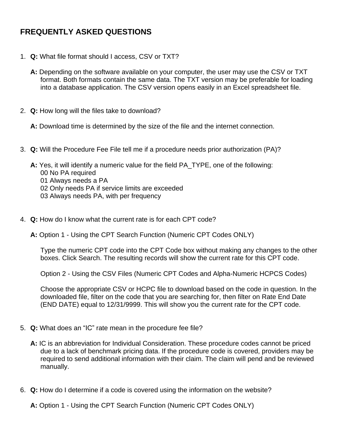## **FREQUENTLY ASKED QUESTIONS**

- 1. **Q:** What file format should I access, CSV or TXT?
	- **A:** Depending on the software available on your computer, the user may use the CSV or TXT format. Both formats contain the same data. The TXT version may be preferable for loading into a database application. The CSV version opens easily in an Excel spreadsheet file.
- 2. **Q:** How long will the files take to download?

**A:** Download time is determined by the size of the file and the internet connection.

- 3. **Q:** Will the Procedure Fee File tell me if a procedure needs prior authorization (PA)?
	- **A:** Yes, it will identify a numeric value for the field PA\_TYPE, one of the following: 00 No PA required 01 Always needs a PA 02 Only needs PA if service limits are exceeded 03 Always needs PA, with per frequency
- 4. **Q:** How do I know what the current rate is for each CPT code?
	- **A:** Option 1 Using the CPT Search Function (Numeric CPT Codes ONLY)

Type the numeric CPT code into the CPT Code box without making any changes to the other boxes. Click Search. The resulting records will show the current rate for this CPT code.

Option 2 - Using the CSV Files (Numeric CPT Codes and Alpha-Numeric HCPCS Codes)

Choose the appropriate CSV or HCPC file to download based on the code in question. In the downloaded file, filter on the code that you are searching for, then filter on Rate End Date (END DATE) equal to 12/31/9999. This will show you the current rate for the CPT code.

- 5. **Q:** What does an "IC" rate mean in the procedure fee file?
	- **A:** IC is an abbreviation for Individual Consideration. These procedure codes cannot be priced due to a lack of benchmark pricing data. If the procedure code is covered, providers may be required to send additional information with their claim. The claim will pend and be reviewed manually.
- 6. **Q:** How do I determine if a code is covered using the information on the website?

**A:** Option 1 - Using the CPT Search Function (Numeric CPT Codes ONLY)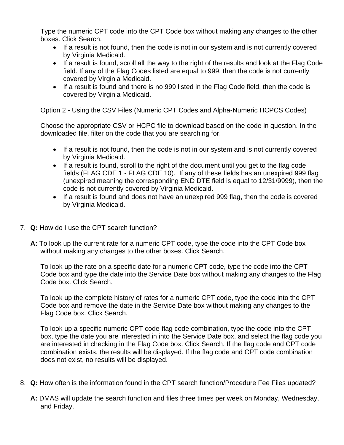Type the numeric CPT code into the CPT Code box without making any changes to the other boxes. Click Search.

- If a result is not found, then the code is not in our system and is not currently covered by Virginia Medicaid.
- If a result is found, scroll all the way to the right of the results and look at the Flag Code field. If any of the Flag Codes listed are equal to 999, then the code is not currently covered by Virginia Medicaid.
- If a result is found and there is no 999 listed in the Flag Code field, then the code is covered by Virginia Medicaid.

Option 2 - Using the CSV Files (Numeric CPT Codes and Alpha-Numeric HCPCS Codes)

Choose the appropriate CSV or HCPC file to download based on the code in question. In the downloaded file, filter on the code that you are searching for.

- If a result is not found, then the code is not in our system and is not currently covered by Virginia Medicaid.
- If a result is found, scroll to the right of the document until you get to the flag code fields (FLAG CDE 1 - FLAG CDE 10). If any of these fields has an unexpired 999 flag (unexpired meaning the corresponding END DTE field is equal to 12/31/9999), then the code is not currently covered by Virginia Medicaid.
- If a result is found and does not have an unexpired 999 flag, then the code is covered by Virginia Medicaid.
- 7. **Q:** How do I use the CPT search function?
	- **A:** To look up the current rate for a numeric CPT code, type the code into the CPT Code box without making any changes to the other boxes. Click Search.

To look up the rate on a specific date for a numeric CPT code, type the code into the CPT Code box and type the date into the Service Date box without making any changes to the Flag Code box. Click Search.

To look up the complete history of rates for a numeric CPT code, type the code into the CPT Code box and remove the date in the Service Date box without making any changes to the Flag Code box. Click Search.

To look up a specific numeric CPT code-flag code combination, type the code into the CPT box, type the date you are interested in into the Service Date box, and select the flag code you are interested in checking in the Flag Code box. Click Search. If the flag code and CPT code combination exists, the results will be displayed. If the flag code and CPT code combination does not exist, no results will be displayed.

- 8. **Q:** How often is the information found in the CPT search function/Procedure Fee Files updated?
	- **A:** DMAS will update the search function and files three times per week on Monday, Wednesday, and Friday.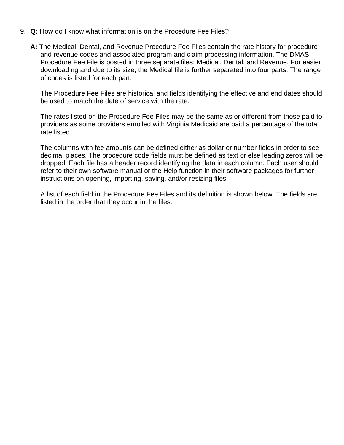- 9. **Q:** How do I know what information is on the Procedure Fee Files?
	- **A:** The Medical, Dental, and Revenue Procedure Fee Files contain the rate history for procedure and revenue codes and associated program and claim processing information. The DMAS Procedure Fee File is posted in three separate files: Medical, Dental, and Revenue. For easier downloading and due to its size, the Medical file is further separated into four parts. The range of codes is listed for each part.

The Procedure Fee Files are historical and fields identifying the effective and end dates should be used to match the date of service with the rate.

The rates listed on the Procedure Fee Files may be the same as or different from those paid to providers as some providers enrolled with Virginia Medicaid are paid a percentage of the total rate listed.

The columns with fee amounts can be defined either as dollar or number fields in order to see decimal places. The procedure code fields must be defined as text or else leading zeros will be dropped. Each file has a header record identifying the data in each column. Each user should refer to their own software manual or the Help function in their software packages for further instructions on opening, importing, saving, and/or resizing files.

A list of each field in the Procedure Fee Files and its definition is shown below. The fields are listed in the order that they occur in the files.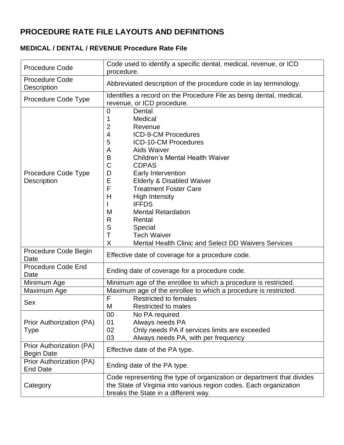## **PROCEDURE RATE FILE LAYOUTS AND DEFINITIONS**

## **MEDICAL / DENTAL / REVENUE Procedure Rate File**

| <b>Procedure Code</b>                         | Code used to identify a specific dental, medical, revenue, or ICD<br>procedure.                                                                                                                                                                                                                                                                                                                                                                                                                                                                                                                           |  |  |
|-----------------------------------------------|-----------------------------------------------------------------------------------------------------------------------------------------------------------------------------------------------------------------------------------------------------------------------------------------------------------------------------------------------------------------------------------------------------------------------------------------------------------------------------------------------------------------------------------------------------------------------------------------------------------|--|--|
| Procedure Code<br><b>Description</b>          | Abbreviated description of the procedure code in lay terminology.                                                                                                                                                                                                                                                                                                                                                                                                                                                                                                                                         |  |  |
| Procedure Code Type                           | Identifies a record on the Procedure File as being dental, medical,<br>revenue, or ICD procedure.                                                                                                                                                                                                                                                                                                                                                                                                                                                                                                         |  |  |
| Procedure Code Type<br>Description            | $\mathbf 0$<br>Dental<br>Medical<br>1<br>$\overline{2}$<br>Revenue<br>$\overline{4}$<br><b>ICD-9-CM Procedures</b><br>5<br><b>ICD-10-CM Procedures</b><br><b>Aids Waiver</b><br>A<br>$\sf B$<br><b>Children's Mental Health Waiver</b><br>$\mathsf C$<br><b>CDPAS</b><br>D<br>Early Intervention<br>E<br><b>Elderly &amp; Disabled Waiver</b><br>F<br><b>Treatment Foster Care</b><br>H<br><b>High Intensity</b><br><b>IFFDS</b><br>M<br><b>Mental Retardation</b><br>R<br>Rental<br>$\mathsf S$<br>Special<br>T<br><b>Tech Waiver</b><br>X<br><b>Mental Health Clinic and Select DD Waivers Services</b> |  |  |
| Procedure Code Begin<br>Date                  | Effective date of coverage for a procedure code.                                                                                                                                                                                                                                                                                                                                                                                                                                                                                                                                                          |  |  |
| Procedure Code End<br>Date                    | Ending date of coverage for a procedure code.                                                                                                                                                                                                                                                                                                                                                                                                                                                                                                                                                             |  |  |
| Minimum Age                                   | Minimum age of the enrollee to which a procedure is restricted.                                                                                                                                                                                                                                                                                                                                                                                                                                                                                                                                           |  |  |
| Maximum Age                                   | Maximum age of the enrollee to which a procedure is restricted.                                                                                                                                                                                                                                                                                                                                                                                                                                                                                                                                           |  |  |
| <b>Sex</b>                                    | F<br><b>Restricted to females</b>                                                                                                                                                                                                                                                                                                                                                                                                                                                                                                                                                                         |  |  |
|                                               | M<br><b>Restricted to males</b>                                                                                                                                                                                                                                                                                                                                                                                                                                                                                                                                                                           |  |  |
| Prior Authorization (PA)<br><b>Type</b>       | No PA required<br>00<br>Always needs PA<br>01<br>02<br>Only needs PA if services limits are exceeded<br>03<br>Always needs PA, with per frequency                                                                                                                                                                                                                                                                                                                                                                                                                                                         |  |  |
| Prior Authorization (PA)<br><b>Begin Date</b> | Effective date of the PA type.                                                                                                                                                                                                                                                                                                                                                                                                                                                                                                                                                                            |  |  |
| Prior Authorization (PA)<br><b>End Date</b>   | Ending date of the PA type.                                                                                                                                                                                                                                                                                                                                                                                                                                                                                                                                                                               |  |  |
| Category                                      | Code representing the type of organization or department that divides<br>the State of Virginia into various region codes. Each organization<br>breaks the State in a different way.                                                                                                                                                                                                                                                                                                                                                                                                                       |  |  |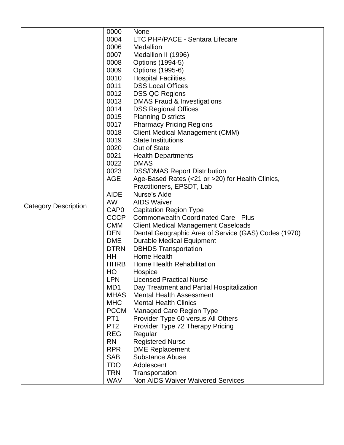|                             | 0000             | <b>None</b>                                          |
|-----------------------------|------------------|------------------------------------------------------|
|                             | 0004             | LTC PHP/PACE - Sentara Lifecare                      |
|                             | 0006             | Medallion                                            |
|                             |                  |                                                      |
|                             | 0007             | Medallion II (1996)                                  |
|                             | 0008             | Options (1994-5)                                     |
|                             | 0009             | Options (1995-6)                                     |
|                             | 0010             | <b>Hospital Facilities</b>                           |
|                             | 0011             | <b>DSS Local Offices</b>                             |
|                             | 0012             | <b>DSS QC Regions</b>                                |
|                             | 0013             | <b>DMAS Fraud &amp; Investigations</b>               |
|                             | 0014             | <b>DSS Regional Offices</b>                          |
|                             | 0015             | <b>Planning Districts</b>                            |
|                             | 0017             | <b>Pharmacy Pricing Regions</b>                      |
|                             | 0018             | Client Medical Management (CMM)                      |
|                             | 0019             | <b>State Institutions</b>                            |
|                             | 0020             | Out of State                                         |
|                             | 0021             | <b>Health Departments</b>                            |
|                             | 0022             | <b>DMAS</b>                                          |
|                             | 0023             | <b>DSS/DMAS Report Distribution</b>                  |
|                             | <b>AGE</b>       | Age-Based Rates (<21 or >20) for Health Clinics,     |
|                             |                  | Practitioners, EPSDT, Lab                            |
|                             | <b>AIDE</b>      | Nurse's Aide                                         |
|                             | <b>AW</b>        | <b>AIDS Waiver</b>                                   |
| <b>Category Description</b> | CAP <sub>0</sub> |                                                      |
|                             |                  | <b>Capitation Region Type</b>                        |
|                             | <b>CCCP</b>      | <b>Commonwealth Coordinated Care - Plus</b>          |
|                             | <b>CMM</b>       | <b>Client Medical Management Caseloads</b>           |
|                             | <b>DEN</b>       | Dental Geographic Area of Service (GAS) Codes (1970) |
|                             | <b>DME</b>       | <b>Durable Medical Equipment</b>                     |
|                             | <b>DTRN</b>      | <b>DBHDS</b> Transportation                          |
|                             | HH               | <b>Home Health</b>                                   |
|                             | <b>HHRB</b>      | Home Health Rehabilitation                           |
|                             | HO               | Hospice                                              |
|                             | <b>LPN</b>       | <b>Licensed Practical Nurse</b>                      |
|                             | MD1              | Day Treatment and Partial Hospitalization            |
|                             | <b>MHAS</b>      | <b>Mental Health Assessment</b>                      |
|                             | <b>MHC</b>       | <b>Mental Health Clinics</b>                         |
|                             | <b>PCCM</b>      | <b>Managed Care Region Type</b>                      |
|                             | PT <sub>1</sub>  | Provider Type 60 versus All Others                   |
|                             | PT <sub>2</sub>  | Provider Type 72 Therapy Pricing                     |
|                             | <b>REG</b>       | Regular                                              |
|                             | <b>RN</b>        | <b>Registered Nurse</b>                              |
|                             | <b>RPR</b>       | <b>DME Replacement</b>                               |
|                             | <b>SAB</b>       | <b>Substance Abuse</b>                               |
|                             | <b>TDO</b>       | Adolescent                                           |
|                             | <b>TRN</b>       |                                                      |
|                             |                  | Transportation                                       |
|                             | <b>WAV</b>       | <b>Non AIDS Waiver Waivered Services</b>             |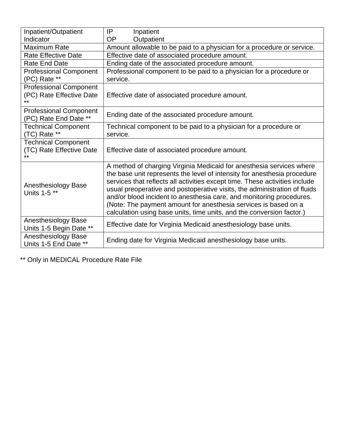| Inpatient/Outpatient                                      | IP<br>Inpatient                                                                                                                                                                                                                                                                                                                                                                                                                                                                                                                  |  |  |  |
|-----------------------------------------------------------|----------------------------------------------------------------------------------------------------------------------------------------------------------------------------------------------------------------------------------------------------------------------------------------------------------------------------------------------------------------------------------------------------------------------------------------------------------------------------------------------------------------------------------|--|--|--|
| Indicator                                                 | <b>OP</b><br>Outpatient                                                                                                                                                                                                                                                                                                                                                                                                                                                                                                          |  |  |  |
| Maximum Rate                                              | Amount allowable to be paid to a physician for a procedure or service.                                                                                                                                                                                                                                                                                                                                                                                                                                                           |  |  |  |
| <b>Rate Effective Date</b>                                | Effective date of associated procedure amount.                                                                                                                                                                                                                                                                                                                                                                                                                                                                                   |  |  |  |
| <b>Rate End Date</b>                                      | Ending date of the associated procedure amount.                                                                                                                                                                                                                                                                                                                                                                                                                                                                                  |  |  |  |
| <b>Professional Component</b>                             | Professional component to be paid to a physician for a procedure or                                                                                                                                                                                                                                                                                                                                                                                                                                                              |  |  |  |
| (PC) Rate **                                              | service.                                                                                                                                                                                                                                                                                                                                                                                                                                                                                                                         |  |  |  |
| <b>Professional Component</b><br>(PC) Rate Effective Date | Effective date of associated procedure amount.                                                                                                                                                                                                                                                                                                                                                                                                                                                                                   |  |  |  |
| <b>Professional Component</b><br>(PC) Rate End Date **    | Ending date of the associated procedure amount.                                                                                                                                                                                                                                                                                                                                                                                                                                                                                  |  |  |  |
| <b>Technical Component</b>                                | Technical component to be paid to a physician for a procedure or                                                                                                                                                                                                                                                                                                                                                                                                                                                                 |  |  |  |
| (TC) Rate **                                              | service.                                                                                                                                                                                                                                                                                                                                                                                                                                                                                                                         |  |  |  |
| <b>Technical Component</b>                                |                                                                                                                                                                                                                                                                                                                                                                                                                                                                                                                                  |  |  |  |
| (TC) Rate Effective Date                                  | Effective date of associated procedure amount.                                                                                                                                                                                                                                                                                                                                                                                                                                                                                   |  |  |  |
| Anesthesiology Base<br>Units 1-5 **                       | A method of charging Virginia Medicaid for anesthesia services where<br>the base unit represents the level of intensity for anesthesia procedure<br>services that reflects all activities except time. These activities include<br>usual preoperative and postoperative visits, the administration of fluids<br>and/or blood incident to anesthesia care, and monitoring procedures.<br>(Note: The payment amount for anesthesia services is based on a<br>calculation using base units, time units, and the conversion factor.) |  |  |  |
| Anesthesiology Base<br>Units 1-5 Begin Date **            | Effective date for Virginia Medicaid anesthesiology base units.                                                                                                                                                                                                                                                                                                                                                                                                                                                                  |  |  |  |
| Anesthesiology Base<br>Units 1-5 End Date **              | Ending date for Virginia Medicaid anesthesiology base units.                                                                                                                                                                                                                                                                                                                                                                                                                                                                     |  |  |  |

\*\* Only in MEDICAL Procedure Rate File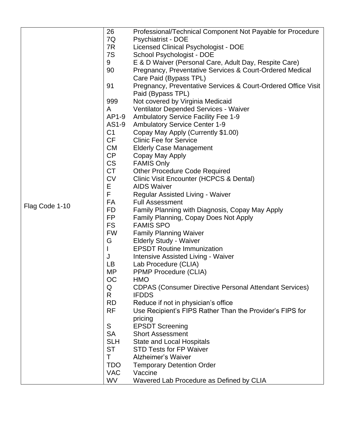|                | 26                                  | Professional/Technical Component Not Payable for Procedure                                                                                             |
|----------------|-------------------------------------|--------------------------------------------------------------------------------------------------------------------------------------------------------|
|                | 7Q                                  | <b>Psychiatrist - DOE</b>                                                                                                                              |
|                | 7R                                  | Licensed Clinical Psychologist - DOE                                                                                                                   |
|                | 7S                                  | School Psychologist - DOE                                                                                                                              |
|                | 9                                   | E & D Waiver (Personal Care, Adult Day, Respite Care)                                                                                                  |
|                | 90                                  | Pregnancy, Preventative Services & Court-Ordered Medical                                                                                               |
|                |                                     | Care Paid (Bypass TPL)                                                                                                                                 |
|                | 91                                  | Pregnancy, Preventative Services & Court-Ordered Office Visit                                                                                          |
|                |                                     | Paid (Bypass TPL)                                                                                                                                      |
|                | 999                                 | Not covered by Virginia Medicaid                                                                                                                       |
|                | A                                   | <b>Ventilator Depended Services - Waiver</b>                                                                                                           |
|                | AP1-9                               | <b>Ambulatory Service Facility Fee 1-9</b>                                                                                                             |
|                | AS1-9                               | <b>Ambulatory Service Center 1-9</b>                                                                                                                   |
|                | C <sub>1</sub>                      | Copay May Apply (Currently \$1.00)                                                                                                                     |
|                | <b>CF</b>                           | <b>Clinic Fee for Service</b>                                                                                                                          |
|                | <b>CM</b>                           | <b>Elderly Case Management</b>                                                                                                                         |
|                | <b>CP</b>                           | Copay May Apply                                                                                                                                        |
|                | <b>CS</b>                           | <b>FAMIS Only</b>                                                                                                                                      |
|                | <b>CT</b>                           | <b>Other Procedure Code Required</b>                                                                                                                   |
|                | <b>CV</b>                           | Clinic Visit Encounter (HCPCS & Dental)                                                                                                                |
|                | Ε                                   | <b>AIDS Waiver</b>                                                                                                                                     |
|                | F                                   | Regular Assisted Living - Waiver                                                                                                                       |
| Flag Code 1-10 | FA                                  | <b>Full Assessment</b>                                                                                                                                 |
|                | FD                                  | Family Planning with Diagnosis, Copay May Apply                                                                                                        |
|                | <b>FP</b>                           | Family Planning, Copay Does Not Apply                                                                                                                  |
|                | <b>FS</b>                           | <b>FAMIS SPO</b>                                                                                                                                       |
|                | <b>FW</b>                           | <b>Family Planning Waiver</b>                                                                                                                          |
|                | G                                   | <b>Elderly Study - Waiver</b>                                                                                                                          |
|                | I                                   | <b>EPSDT Routine Immunization</b>                                                                                                                      |
|                | J                                   | <b>Intensive Assisted Living - Waiver</b>                                                                                                              |
|                | LB                                  | Lab Procedure (CLIA)                                                                                                                                   |
|                | MP                                  | <b>PPMP Procedure (CLIA)</b>                                                                                                                           |
|                | OC                                  | <b>HMO</b>                                                                                                                                             |
|                | Q                                   | <b>CDPAS (Consumer Directive Personal Attendant Services)</b>                                                                                          |
|                | R.                                  | <b>IFDDS</b>                                                                                                                                           |
|                | <b>RD</b>                           | Reduce if not in physician's office                                                                                                                    |
|                | <b>RF</b>                           | Use Recipient's FIPS Rather Than the Provider's FIPS for                                                                                               |
|                |                                     | pricing                                                                                                                                                |
|                | S<br><b>SA</b>                      | <b>EPSDT Screening</b>                                                                                                                                 |
|                | <b>SLH</b>                          | <b>Short Assessment</b>                                                                                                                                |
|                | <b>ST</b>                           | <b>State and Local Hospitals</b>                                                                                                                       |
|                |                                     |                                                                                                                                                        |
|                |                                     |                                                                                                                                                        |
|                |                                     |                                                                                                                                                        |
|                |                                     |                                                                                                                                                        |
|                | Τ<br><b>TDO</b><br><b>VAC</b><br>WV | <b>STD Tests for FP Waiver</b><br><b>Alzheimer's Waiver</b><br><b>Temporary Detention Order</b><br>Vaccine<br>Wavered Lab Procedure as Defined by CLIA |